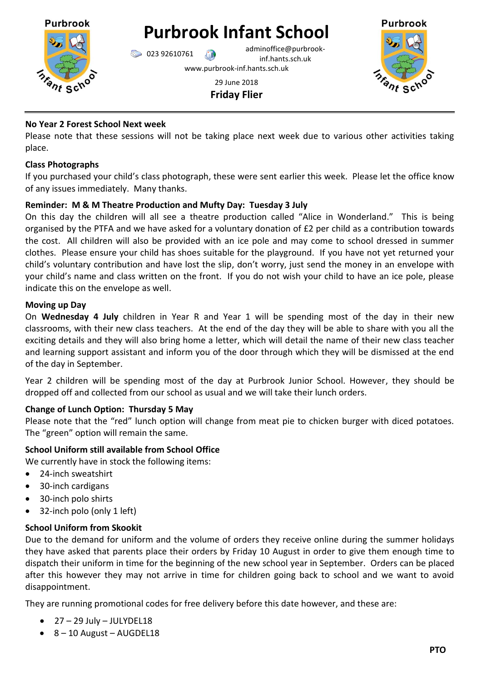

**Purbrook Infant School**

 $\bigcirc$  023 92610761 adminoffice@purbrookinf.hants.sch.uk www.purbrook-inf.hants.sch.uk



29 June 2018 **Friday Flier**

## **No Year 2 Forest School Next week**

Please note that these sessions will not be taking place next week due to various other activities taking place.

## **Class Photographs**

If you purchased your child's class photograph, these were sent earlier this week. Please let the office know of any issues immediately. Many thanks.

# **Reminder: M & M Theatre Production and Mufty Day: Tuesday 3 July**

On this day the children will all see a theatre production called "Alice in Wonderland." This is being organised by the PTFA and we have asked for a voluntary donation of £2 per child as a contribution towards the cost. All children will also be provided with an ice pole and may come to school dressed in summer clothes. Please ensure your child has shoes suitable for the playground. If you have not yet returned your child's voluntary contribution and have lost the slip, don't worry, just send the money in an envelope with your child's name and class written on the front. If you do not wish your child to have an ice pole, please indicate this on the envelope as well.

## **Moving up Day**

On **Wednesday 4 July** children in Year R and Year 1 will be spending most of the day in their new classrooms, with their new class teachers. At the end of the day they will be able to share with you all the exciting details and they will also bring home a letter, which will detail the name of their new class teacher and learning support assistant and inform you of the door through which they will be dismissed at the end of the day in September.

Year 2 children will be spending most of the day at Purbrook Junior School. However, they should be dropped off and collected from our school as usual and we will take their lunch orders.

# **Change of Lunch Option: Thursday 5 May**

Please note that the "red" lunch option will change from meat pie to chicken burger with diced potatoes. The "green" option will remain the same.

# **School Uniform still available from School Office**

We currently have in stock the following items:

- 24-inch sweatshirt
- 30-inch cardigans
- 30-inch polo shirts
- 32-inch polo (only 1 left)

### **School Uniform from Skookit**

Due to the demand for uniform and the volume of orders they receive online during the summer holidays they have asked that parents place their orders by Friday 10 August in order to give them enough time to dispatch their uniform in time for the beginning of the new school year in September. Orders can be placed after this however they may not arrive in time for children going back to school and we want to avoid disappointment.

They are running promotional codes for free delivery before this date however, and these are:

- $\bullet$  27 29 July JULYDEL18
- $\bullet$  8 10 August AUGDEL18